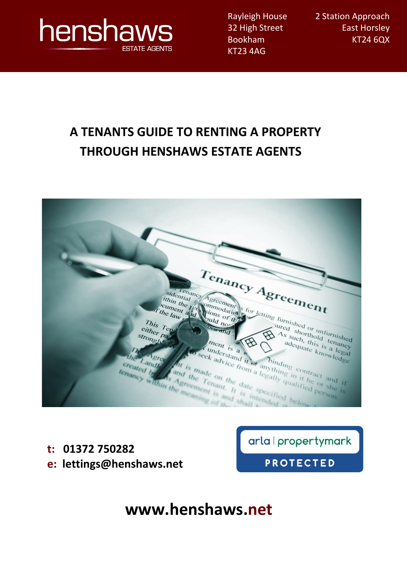

Rayleigh House 32 High Street Bookham KT23 4AG

2 Station Approach East Horsley KT24 6QX

# **A TENANTS GUIDE TO RENTING A PROPERTY THROUGH HENSHAWS ESTATE AGENTS**

| $Te_{\boldsymbol{n_{a n_{cy}}}}$ $A_{gre_{\boldsymbol{e_{n_{t}}}}}$<br>Henrial Commonly for letting furnished or unfurnished<br>sidential Commodation<br>Funin the fight stons of the<br>If the law g                                                                          |  |
|--------------------------------------------------------------------------------------------------------------------------------------------------------------------------------------------------------------------------------------------------------------------------------|--|
| This Tend<br>sured shorthold tenancy<br>either page<br>$As$ such, this is a legal<br>strongly<br>$\mathfrak{B}$<br>adequate knowledge<br>ment is a n<br>$T_{\rm F}$<br>ARTICLE                                                                                                 |  |
| Aunderstand it of anything in it he or she is<br>to seek advice from a legally qualified person.<br>the Landle<br>The is made on the date specified below<br>created in the As Agreement is and shall<br>and the Tenant, It is interested<br>tenancy within the meaning of the |  |

**t: 01372 750282 e: lettings@henshaws.net** arla | propertymark

**PROTECTED** 

**www.henshaws.net**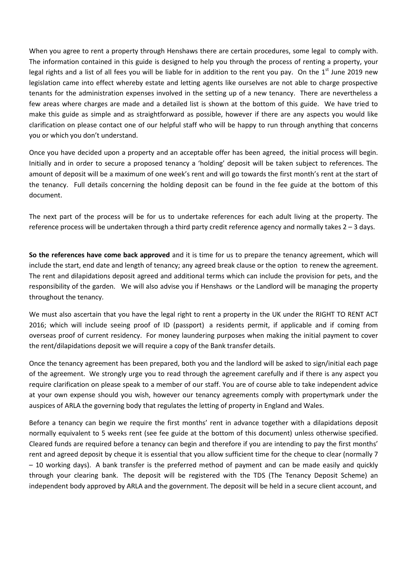When you agree to rent a property through Henshaws there are certain procedures, some legal to comply with. The information contained in this guide is designed to help you through the process of renting a property, your legal rights and a list of all fees you will be liable for in addition to the rent you pay. On the  $1<sup>st</sup>$  June 2019 new legislation came into effect whereby estate and letting agents like ourselves are not able to charge prospective tenants for the administration expenses involved in the setting up of a new tenancy. There are nevertheless a few areas where charges are made and a detailed list is shown at the bottom of this guide. We have tried to make this guide as simple and as straightforward as possible, however if there are any aspects you would like clarification on please contact one of our helpful staff who will be happy to run through anything that concerns you or which you don't understand.

Once you have decided upon a property and an acceptable offer has been agreed, the initial process will begin. Initially and in order to secure a proposed tenancy a 'holding' deposit will be taken subject to references. The amount of deposit will be a maximum of one week's rent and will go towards the first month's rent at the start of the tenancy. Full details concerning the holding deposit can be found in the fee guide at the bottom of this document.

The next part of the process will be for us to undertake references for each adult living at the property. The reference process will be undertaken through a third party credit reference agency and normally takes 2 – 3 days.

**So the references have come back approved** and it is time for us to prepare the tenancy agreement, which will include the start, end date and length of tenancy; any agreed break clause or the option to renew the agreement. The rent and dilapidations deposit agreed and additional terms which can include the provision for pets, and the responsibility of the garden. We will also advise you if Henshaws or the Landlord will be managing the property throughout the tenancy.

We must also ascertain that you have the legal right to rent a property in the UK under the RIGHT TO RENT ACT 2016; which will include seeing proof of ID (passport) a residents permit, if applicable and if coming from overseas proof of current residency. For money laundering purposes when making the initial payment to cover the rent/dilapidations deposit we will require a copy of the Bank transfer details.

Once the tenancy agreement has been prepared, both you and the landlord will be asked to sign/initial each page of the agreement. We strongly urge you to read through the agreement carefully and if there is any aspect you require clarification on please speak to a member of our staff. You are of course able to take independent advice at your own expense should you wish, however our tenancy agreements comply with propertymark under the auspices of ARLA the governing body that regulates the letting of property in England and Wales.

Before a tenancy can begin we require the first months' rent in advance together with a dilapidations deposit normally equivalent to 5 weeks rent (see fee guide at the bottom of this document) unless otherwise specified. Cleared funds are required before a tenancy can begin and therefore if you are intending to pay the first months' rent and agreed deposit by cheque it is essential that you allow sufficient time for the cheque to clear (normally 7 – 10 working days). A bank transfer is the preferred method of payment and can be made easily and quickly through your clearing bank. The deposit will be registered with the TDS (The Tenancy Deposit Scheme) an independent body approved by ARLA and the government. The deposit will be held in a secure client account, and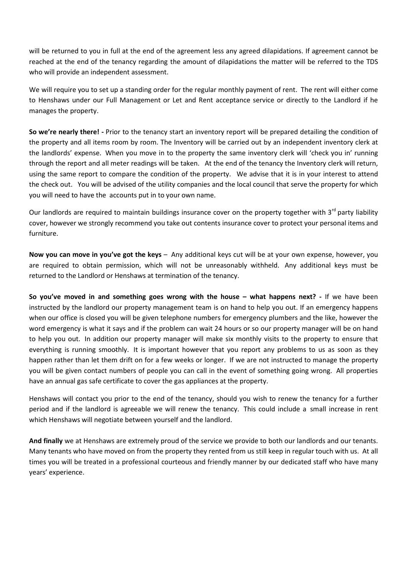will be returned to you in full at the end of the agreement less any agreed dilapidations. If agreement cannot be reached at the end of the tenancy regarding the amount of dilapidations the matter will be referred to the TDS who will provide an independent assessment.

We will require you to set up a standing order for the regular monthly payment of rent. The rent will either come to Henshaws under our Full Management or Let and Rent acceptance service or directly to the Landlord if he manages the property.

**So we're nearly there! -** Prior to the tenancy start an inventory report will be prepared detailing the condition of the property and all items room by room. The Inventory will be carried out by an independent inventory clerk at the landlords' expense. When you move in to the property the same inventory clerk will 'check you in' running through the report and all meter readings will be taken. At the end of the tenancy the Inventory clerk will return, using the same report to compare the condition of the property. We advise that it is in your interest to attend the check out. You will be advised of the utility companies and the local council that serve the property for which you will need to have the accounts put in to your own name.

Our landlords are required to maintain buildings insurance cover on the property together with 3<sup>rd</sup> party liability cover, however we strongly recommend you take out contents insurance cover to protect your personal items and furniture.

**Now you can move in you've got the keys** – Any additional keys cut will be at your own expense, however, you are required to obtain permission, which will not be unreasonably withheld. Any additional keys must be returned to the Landlord or Henshaws at termination of the tenancy.

**So you've moved in and something goes wrong with the house – what happens next? -** If we have been instructed by the landlord our property management team is on hand to help you out. If an emergency happens when our office is closed you will be given telephone numbers for emergency plumbers and the like, however the word emergency is what it says and if the problem can wait 24 hours or so our property manager will be on hand to help you out. In addition our property manager will make six monthly visits to the property to ensure that everything is running smoothly. It is important however that you report any problems to us as soon as they happen rather than let them drift on for a few weeks or longer. If we are not instructed to manage the property you will be given contact numbers of people you can call in the event of something going wrong. All properties have an annual gas safe certificate to cover the gas appliances at the property.

Henshaws will contact you prior to the end of the tenancy, should you wish to renew the tenancy for a further period and if the landlord is agreeable we will renew the tenancy. This could include a small increase in rent which Henshaws will negotiate between yourself and the landlord.

**And finally** we at Henshaws are extremely proud of the service we provide to both our landlords and our tenants. Many tenants who have moved on from the property they rented from us still keep in regular touch with us. At all times you will be treated in a professional courteous and friendly manner by our dedicated staff who have many years' experience.